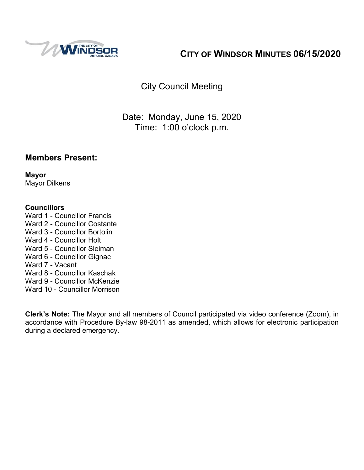

# **CITY OF WINDSOR MINUTES 06/15/2020**

City Council Meeting

Date: Monday, June 15, 2020 Time: 1:00 o'clock p.m.

#### **Members Present:**

**Mayor** Mayor Dilkens

#### **Councillors**

- Ward 1 Councillor Francis
- Ward 2 Councillor Costante
- Ward 3 Councillor Bortolin
- Ward 4 Councillor Holt
- Ward 5 Councillor Sleiman
- Ward 6 Councillor Gignac
- Ward 7 Vacant
- Ward 8 Councillor Kaschak
- Ward 9 Councillor McKenzie
- Ward 10 Councillor Morrison

**Clerk's Note:** The Mayor and all members of Council participated via video conference (Zoom), in accordance with Procedure By-law 98-2011 as amended, which allows for electronic participation during a declared emergency.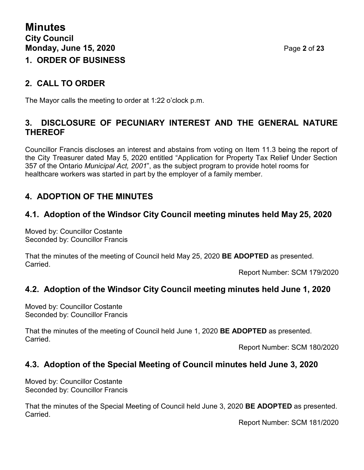#### **2. CALL TO ORDER**

The Mayor calls the meeting to order at 1:22 o'clock p.m.

#### **3. DISCLOSURE OF PECUNIARY INTEREST AND THE GENERAL NATURE THEREOF**

Councillor Francis discloses an interest and abstains from voting on Item 11.3 being the report of the City Treasurer dated May 5, 2020 entitled "Application for Property Tax Relief Under Section 357 of the Ontario *Municipal Act, 2001*", as the subject program to provide hotel rooms for healthcare workers was started in part by the employer of a family member.

## **4. ADOPTION OF THE MINUTES**

### **4.1. Adoption of the Windsor City Council meeting minutes held May 25, 2020**

Moved by: Councillor Costante Seconded by: Councillor Francis

That the minutes of the meeting of Council held May 25, 2020 **BE ADOPTED** as presented. Carried.

Report Number: SCM 179/2020

## **4.2. Adoption of the Windsor City Council meeting minutes held June 1, 2020**

Moved by: Councillor Costante Seconded by: Councillor Francis

That the minutes of the meeting of Council held June 1, 2020 **BE ADOPTED** as presented. Carried.

Report Number: SCM 180/2020

#### **4.3. Adoption of the Special Meeting of Council minutes held June 3, 2020**

Moved by: Councillor Costante Seconded by: Councillor Francis

That the minutes of the Special Meeting of Council held June 3, 2020 **BE ADOPTED** as presented. Carried.

Report Number: SCM 181/2020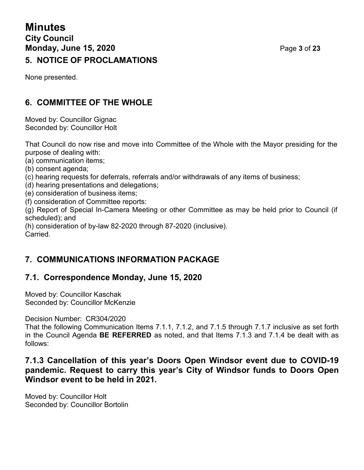# **Minutes City Council Monday, June 15, 2020** Page **3** of **23 5. NOTICE OF PROCLAMATIONS**

None presented.

# **6. COMMITTEE OF THE WHOLE**

Moved by: Councillor Gignac Seconded by: Councillor Holt

That Council do now rise and move into Committee of the Whole with the Mayor presiding for the purpose of dealing with:

(a) communication items;

(b) consent agenda;

- (c) hearing requests for deferrals, referrals and/or withdrawals of any items of business;
- (d) hearing presentations and delegations;
- (e) consideration of business items;
- (f) consideration of Committee reports:

(g) Report of Special In-Camera Meeting or other Committee as may be held prior to Council (if scheduled); and

(h) consideration of by-law 82-2020 through 87-2020 (inclusive).

Carried.

## **7. COMMUNICATIONS INFORMATION PACKAGE**

## **7.1. Correspondence Monday, June 15, 2020**

Moved by: Councillor Kaschak Seconded by: Councillor McKenzie

Decision Number: CR304/2020

That the following Communication Items 7.1.1, 7.1.2, and 7.1.5 through 7.1.7 inclusive as set forth in the Council Agenda **BE REFERRED** as noted, and that Items 7.1.3 and 7.1.4 be dealt with as follows:

#### **7.1.3 Cancellation of this year's Doors Open Windsor event due to COVID-19 pandemic. Request to carry this year's City of Windsor funds to Doors Open Windsor event to be held in 2021.**

Moved by: Councillor Holt Seconded by: Councillor Bortolin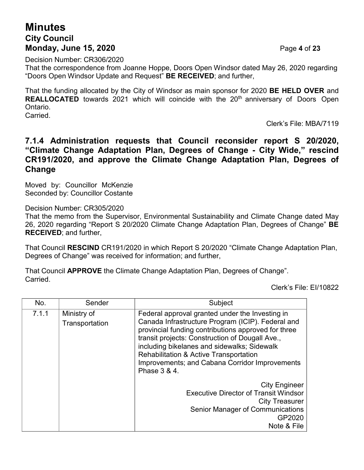## **Minutes City Council Monday, June 15, 2020** Page **4** of **23**

Decision Number: CR306/2020

That the correspondence from Joanne Hoppe, Doors Open Windsor dated May 26, 2020 regarding "Doors Open Windsor Update and Request" **BE RECEIVED**; and further,

That the funding allocated by the City of Windsor as main sponsor for 2020 **BE HELD OVER** and **REALLOCATED** towards 2021 which will coincide with the 20<sup>th</sup> anniversary of Doors Open Ontario.

Carried.

Clerk's File: MBA/7119

#### **7.1.4 Administration requests that Council reconsider report S 20/2020, "Climate Change Adaptation Plan, Degrees of Change - City Wide," rescind CR191/2020, and approve the Climate Change Adaptation Plan, Degrees of Change**

Moved by: Councillor McKenzie Seconded by: Councillor Costante

Decision Number: CR305/2020

That the memo from the Supervisor, Environmental Sustainability and Climate Change dated May 26, 2020 regarding "Report S 20/2020 Climate Change Adaptation Plan, Degrees of Change" **BE RECEIVED**; and further,

That Council **RESCIND** CR191/2020 in which Report S 20/2020 "Climate Change Adaptation Plan, Degrees of Change" was received for information; and further,

That Council **APPROVE** the Climate Change Adaptation Plan, Degrees of Change". Carried.

Clerk's File: EI/10822

| No.   | Sender                        | Subject                                                                                                                                                                                                                                                                                                                                                                              |
|-------|-------------------------------|--------------------------------------------------------------------------------------------------------------------------------------------------------------------------------------------------------------------------------------------------------------------------------------------------------------------------------------------------------------------------------------|
| 7.1.1 | Ministry of<br>Transportation | Federal approval granted under the Investing in<br>Canada Infrastructure Program (ICIP). Federal and<br>provincial funding contributions approved for three<br>transit projects: Construction of Dougall Ave.,<br>including bikelanes and sidewalks; Sidewalk<br><b>Rehabilitation &amp; Active Transportation</b><br>Improvements; and Cabana Corridor Improvements<br>Phase 3 & 4. |
|       |                               | <b>City Engineer</b><br><b>Executive Director of Transit Windsor</b><br><b>City Treasurer</b><br><b>Senior Manager of Communications</b><br>GP2020<br>Note & File                                                                                                                                                                                                                    |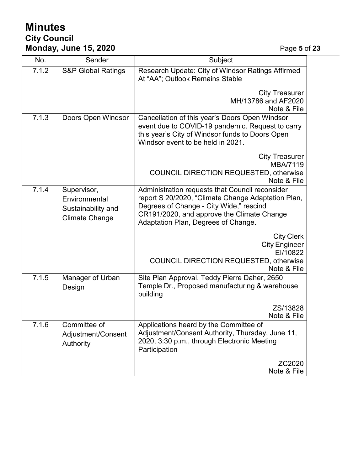# **Minutes City Council Monday, June 15, 2020** Page **5** of **23**

| No.   | Sender                        | Subject                                                                              |  |
|-------|-------------------------------|--------------------------------------------------------------------------------------|--|
|       |                               |                                                                                      |  |
| 7.1.2 | <b>S&amp;P Global Ratings</b> | Research Update: City of Windsor Ratings Affirmed<br>At "AA"; Outlook Remains Stable |  |
|       |                               | <b>City Treasurer</b>                                                                |  |
|       |                               | MH/13786 and AF2020                                                                  |  |
|       |                               | Note & File                                                                          |  |
| 7.1.3 | Doors Open Windsor            | Cancellation of this year's Doors Open Windsor                                       |  |
|       |                               | event due to COVID-19 pandemic. Request to carry                                     |  |
|       |                               | this year's City of Windsor funds to Doors Open                                      |  |
|       |                               | Windsor event to be held in 2021.                                                    |  |
|       |                               | <b>City Treasurer</b>                                                                |  |
|       |                               | <b>MBA/7119</b>                                                                      |  |
|       |                               | <b>COUNCIL DIRECTION REQUESTED, otherwise</b>                                        |  |
|       |                               | Note & File                                                                          |  |
| 7.1.4 | Supervisor,                   | Administration requests that Council reconsider                                      |  |
|       | Environmental                 | report S 20/2020, "Climate Change Adaptation Plan,                                   |  |
|       | Sustainability and            | Degrees of Change - City Wide," rescind                                              |  |
|       | <b>Climate Change</b>         | CR191/2020, and approve the Climate Change<br>Adaptation Plan, Degrees of Change.    |  |
|       |                               |                                                                                      |  |
|       |                               | <b>City Clerk</b>                                                                    |  |
|       |                               | <b>City Engineer</b>                                                                 |  |
|       |                               | EI/10822                                                                             |  |
|       |                               | <b>COUNCIL DIRECTION REQUESTED, otherwise</b><br>Note & File                         |  |
| 7.1.5 | Manager of Urban              | Site Plan Approval, Teddy Pierre Daher, 2650                                         |  |
|       | Design                        | Temple Dr., Proposed manufacturing & warehouse                                       |  |
|       |                               | building                                                                             |  |
|       |                               | ZS/13828                                                                             |  |
|       |                               | Note & File                                                                          |  |
| 7.1.6 | Committee of                  | Applications heard by the Committee of                                               |  |
|       | Adjustment/Consent            | Adjustment/Consent Authority, Thursday, June 11,                                     |  |
|       | Authority                     | 2020, 3:30 p.m., through Electronic Meeting<br>Participation                         |  |
|       |                               | ZC2020                                                                               |  |
|       |                               | Note & File                                                                          |  |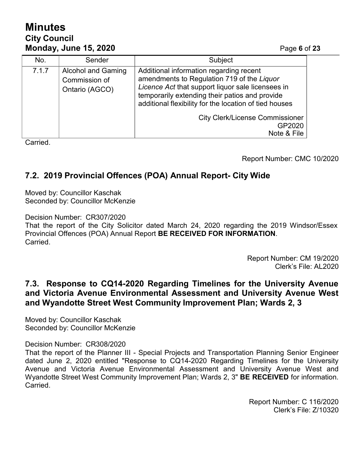# **Minutes City Council Monday, June 15, 2020** Page **6** of **23**

| No.   | Sender                                                       | Subject                                                                                                                                                                                                                                                |
|-------|--------------------------------------------------------------|--------------------------------------------------------------------------------------------------------------------------------------------------------------------------------------------------------------------------------------------------------|
| 7.1.7 | <b>Alcohol and Gaming</b><br>Commission of<br>Ontario (AGCO) | Additional information regarding recent<br>amendments to Regulation 719 of the Liquor<br>Licence Act that support liquor sale licensees in<br>temporarily extending their patios and provide<br>additional flexibility for the location of tied houses |
|       |                                                              | <b>City Clerk/License Commissioner</b><br>GP2020<br>Note & File                                                                                                                                                                                        |

**Carried** 

Report Number: CMC 10/2020

## **7.2. 2019 Provincial Offences (POA) Annual Report- City Wide**

Moved by: Councillor Kaschak Seconded by: Councillor McKenzie

Decision Number: CR307/2020

That the report of the City Solicitor dated March 24, 2020 regarding the 2019 Windsor/Essex Provincial Offences (POA) Annual Report **BE RECEIVED FOR INFORMATION**. Carried.

> Report Number: CM 19/2020 Clerk's File: AL2020

#### **7.3. Response to CQ14-2020 Regarding Timelines for the University Avenue and Victoria Avenue Environmental Assessment and University Avenue West and Wyandotte Street West Community Improvement Plan; Wards 2, 3**

Moved by: Councillor Kaschak Seconded by: Councillor McKenzie

Decision Number: CR308/2020

That the report of the Planner III - Special Projects and Transportation Planning Senior Engineer dated June 2, 2020 entitled "Response to CQ14-2020 Regarding Timelines for the University Avenue and Victoria Avenue Environmental Assessment and University Avenue West and Wyandotte Street West Community Improvement Plan; Wards 2, 3" **BE RECEIVED** for information. **Carried** 

> Report Number: C 116/2020 Clerk's File: Z/10320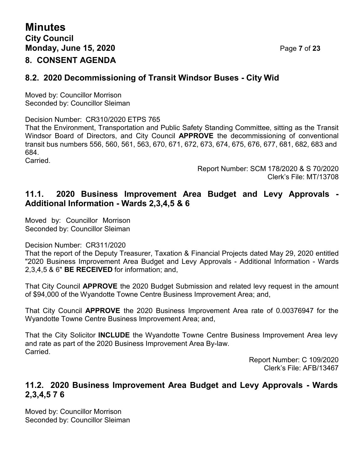### **8.2. 2020 Decommissioning of Transit Windsor Buses - City Wid**

Moved by: Councillor Morrison Seconded by: Councillor Sleiman

Decision Number: CR310/2020 ETPS 765

That the Environment, Transportation and Public Safety Standing Committee, sitting as the Transit Windsor Board of Directors, and City Council **APPROVE** the decommissioning of conventional transit bus numbers 556, 560, 561, 563, 670, 671, 672, 673, 674, 675, 676, 677, 681, 682, 683 and 684.

Carried.

Report Number: SCM 178/2020 & S 70/2020 Clerk's File: MT/13708

### **11.1. 2020 Business Improvement Area Budget and Levy Approvals - Additional Information - Wards 2,3,4,5 & 6**

Moved by: Councillor Morrison Seconded by: Councillor Sleiman

Decision Number: CR311/2020

That the report of the Deputy Treasurer, Taxation & Financial Projects dated May 29, 2020 entitled "2020 Business Improvement Area Budget and Levy Approvals - Additional Information - Wards 2,3,4,5 & 6" **BE RECEIVED** for information; and,

That City Council **APPROVE** the 2020 Budget Submission and related levy request in the amount of \$94,000 of the Wyandotte Towne Centre Business Improvement Area; and,

That City Council **APPROVE** the 2020 Business Improvement Area rate of 0.00376947 for the Wyandotte Towne Centre Business Improvement Area; and,

That the City Solicitor **INCLUDE** the Wyandotte Towne Centre Business Improvement Area levy and rate as part of the 2020 Business Improvement Area By-law. Carried.

Report Number: C 109/2020 Clerk's File: AFB/13467

#### **11.2. 2020 Business Improvement Area Budget and Levy Approvals - Wards 2,3,4,5 7 6**

Moved by: Councillor Morrison Seconded by: Councillor Sleiman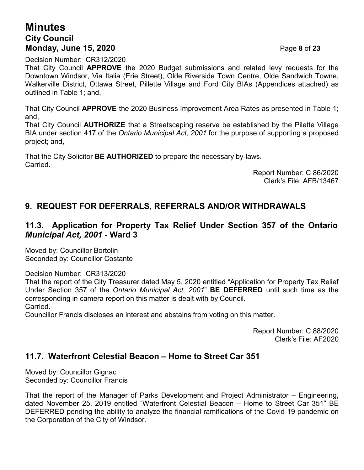## **Minutes City Council Monday, June 15, 2020** Page **8** of **23**

Decision Number: CR312/2020

That City Council **APPROVE** the 2020 Budget submissions and related levy requests for the Downtown Windsor, Via Italia (Erie Street), Olde Riverside Town Centre, Olde Sandwich Towne, Walkerville District, Ottawa Street, Pillette Village and Ford City BIAs (Appendices attached) as outlined in Table 1; and,

That City Council **APPROVE** the 2020 Business Improvement Area Rates as presented in Table 1; and,

That City Council **AUTHORIZE** that a Streetscaping reserve be established by the Pilette Village BIA under section 417 of the *Ontario Municipal Act, 2001* for the purpose of supporting a proposed project; and,

That the City Solicitor **BE AUTHORIZED** to prepare the necessary by-laws. **Carried** 

Report Number: C 86/2020 Clerk's File: AFB/13467

## **9. REQUEST FOR DEFERRALS, REFERRALS AND/OR WITHDRAWALS**

#### **11.3. Application for Property Tax Relief Under Section 357 of the Ontario** *Municipal Act, 2001* **- Ward 3**

Moved by: Councillor Bortolin Seconded by: Councillor Costante

Decision Number: CR313/2020

That the report of the City Treasurer dated May 5, 2020 entitled "Application for Property Tax Relief Under Section 357 of the *Ontario Municipal Act, 2001*" **BE DEFERRED** until such time as the corresponding in camera report on this matter is dealt with by Council. Carried.

Councillor Francis discloses an interest and abstains from voting on this matter.

Report Number: C 88/2020 Clerk's File: AF2020

#### **11.7. Waterfront Celestial Beacon – Home to Street Car 351**

Moved by: Councillor Gignac Seconded by: Councillor Francis

That the report of the Manager of Parks Development and Project Administrator – Engineering, dated November 25, 2019 entitled "Waterfront Celestial Beacon – Home to Street Car 351" BE DEFERRED pending the ability to analyze the financial ramifications of the Covid-19 pandemic on the Corporation of the City of Windsor.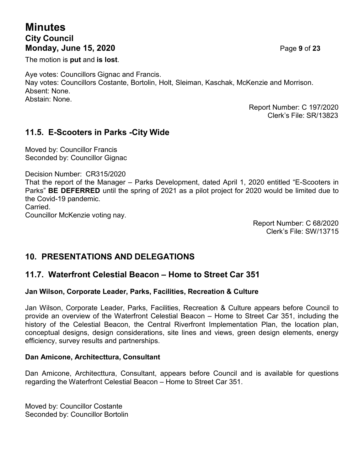# **Minutes City Council Monday, June 15, 2020** Page **9** of **23**

The motion is **put** and **is lost**.

Aye votes: Councillors Gignac and Francis. Nay votes: Councillors Costante, Bortolin, Holt, Sleiman, Kaschak, McKenzie and Morrison. Absent: None. Abstain: None.

> Report Number: C 197/2020 Clerk's File: SR/13823

#### **11.5. E-Scooters in Parks -City Wide**

Moved by: Councillor Francis Seconded by: Councillor Gignac

Decision Number: CR315/2020

That the report of the Manager – Parks Development, dated April 1, 2020 entitled "E-Scooters in Parks" **BE DEFERRED** until the spring of 2021 as a pilot project for 2020 would be limited due to the Covid-19 pandemic.

**Carried** 

Councillor McKenzie voting nay.

Report Number: C 68/2020 Clerk's File: SW/13715

## **10. PRESENTATIONS AND DELEGATIONS**

#### **11.7. Waterfront Celestial Beacon – Home to Street Car 351**

#### **Jan Wilson, Corporate Leader, Parks, Facilities, Recreation & Culture**

Jan Wilson, Corporate Leader, Parks, Facilities, Recreation & Culture appears before Council to provide an overview of the Waterfront Celestial Beacon – Home to Street Car 351, including the history of the Celestial Beacon, the Central Riverfront Implementation Plan, the location plan, conceptual designs, design considerations, site lines and views, green design elements, energy efficiency, survey results and partnerships.

#### **Dan Amicone, Architecttura, Consultant**

Dan Amicone, Architecttura, Consultant, appears before Council and is available for questions regarding the Waterfront Celestial Beacon – Home to Street Car 351.

Moved by: Councillor Costante Seconded by: Councillor Bortolin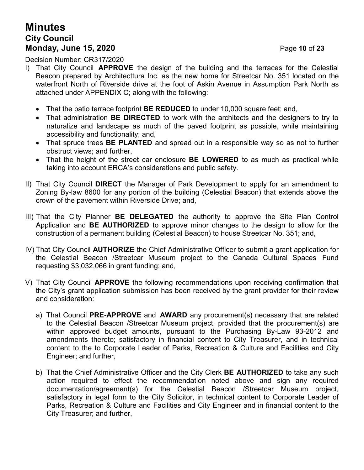# **Minutes City Council Monday, June 15, 2020** Page **10** of **23**

Decision Number: CR317/2020

- I) That City Council **APPROVE** the design of the building and the terraces for the Celestial Beacon prepared by Architecttura Inc. as the new home for Streetcar No. 351 located on the waterfront North of Riverside drive at the foot of Askin Avenue in Assumption Park North as attached under APPENDIX C; along with the following:
	- That the patio terrace footprint **BE REDUCED** to under 10,000 square feet; and,
	- That administration **BE DIRECTED** to work with the architects and the designers to try to naturalize and landscape as much of the paved footprint as possible, while maintaining accessibility and functionality; and,
	- That spruce trees **BE PLANTED** and spread out in a responsible way so as not to further obstruct views; and further,
	- That the height of the street car enclosure **BE LOWERED** to as much as practical while taking into account ERCA's considerations and public safety.
- II) That City Council **DIRECT** the Manager of Park Development to apply for an amendment to Zoning By-law 8600 for any portion of the building (Celestial Beacon) that extends above the crown of the pavement within Riverside Drive; and,
- III) That the City Planner **BE DELEGATED** the authority to approve the Site Plan Control Application and **BE AUTHORIZED** to approve minor changes to the design to allow for the construction of a permanent building (Celestial Beacon) to house Streetcar No. 351; and,
- IV) That City Council **AUTHORIZE** the Chief Administrative Officer to submit a grant application for the Celestial Beacon /Streetcar Museum project to the Canada Cultural Spaces Fund requesting \$3,032,066 in grant funding; and,
- V) That City Council **APPROVE** the following recommendations upon receiving confirmation that the City's grant application submission has been received by the grant provider for their review and consideration:
	- a) That Council **PRE-APPROVE** and **AWARD** any procurement(s) necessary that are related to the Celestial Beacon /Streetcar Museum project, provided that the procurement(s) are within approved budget amounts, pursuant to the Purchasing By-Law 93-2012 and amendments thereto; satisfactory in financial content to City Treasurer, and in technical content to the to Corporate Leader of Parks, Recreation & Culture and Facilities and City Engineer; and further,
	- b) That the Chief Administrative Officer and the City Clerk **BE AUTHORIZED** to take any such action required to effect the recommendation noted above and sign any required documentation/agreement(s) for the Celestial Beacon /Streetcar Museum project, satisfactory in legal form to the City Solicitor, in technical content to Corporate Leader of Parks, Recreation & Culture and Facilities and City Engineer and in financial content to the City Treasurer; and further,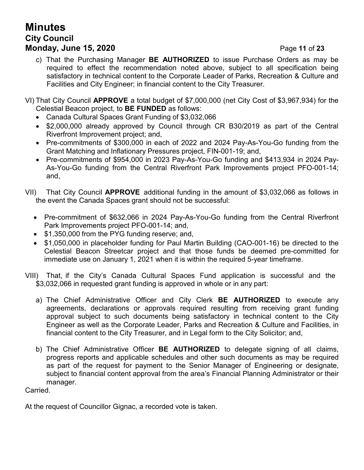# **Minutes City Council Monday, June 15, 2020** Page **11** of **23**

c) That the Purchasing Manager **BE AUTHORIZED** to issue Purchase Orders as may be required to effect the recommendation noted above, subject to all specification being satisfactory in technical content to the Corporate Leader of Parks, Recreation & Culture and Facilities and City Engineer; in financial content to the City Treasurer.

VI) That City Council **APPROVE** a total budget of \$7,000,000 (net City Cost of \$3,967,934) for the Celestial Beacon project, to **BE FUNDED** as follows:

- Canada Cultural Spaces Grant Funding of \$3,032,066
- \$2,000,000 already approved by Council through CR B30/2019 as part of the Central Riverfront Improvement project; and,
- Pre-commitments of \$300,000 in each of 2022 and 2024 Pay-As-You-Go funding from the Grant Matching and Inflationary Pressures project, FIN-001-19; and,
- Pre-commitments of \$954,000 in 2023 Pay-As-You-Go funding and \$413,934 in 2024 Pay-As-You-Go funding from the Central Riverfront Park Improvements project PFO-001-14; and,
- VII) That City Council **APPROVE** additional funding in the amount of \$3,032,066 as follows in the event the Canada Spaces grant should not be successful:
	- Pre-commitment of \$632,066 in 2024 Pay-As-You-Go funding from the Central Riverfront Park Improvements project PFO-001-14; and,
	- \$1,350,000 from the PYG funding reserve; and,
	- \$1,050,000 in placeholder funding for Paul Martin Building (CAO-001-16) be directed to the Celestial Beacon Streetcar project and that those funds be deemed pre-committed for immediate use on January 1, 2021 when it is within the required 5-year timeframe.
- VIII) That, if the City's Canada Cultural Spaces Fund application is successful and the \$3,032,066 in requested grant funding is approved in whole or in any part:
	- a) The Chief Administrative Officer and City Clerk **BE AUTHORIZED** to execute any agreements, declarations or approvals required resulting from receiving grant funding approval subject to such documents being satisfactory in technical content to the City Engineer as well as the Corporate Leader, Parks and Recreation & Culture and Facilities, in financial content to the City Treasurer, and in Legal form to the City Solicitor; and,
	- b) The Chief Administrative Officer **BE AUTHORIZED** to delegate signing of all claims, progress reports and applicable schedules and other such documents as may be required as part of the request for payment to the Senior Manager of Engineering or designate, subject to financial content approval from the area's Financial Planning Administrator or their manager.

Carried.

At the request of Councillor Gignac, a recorded vote is taken.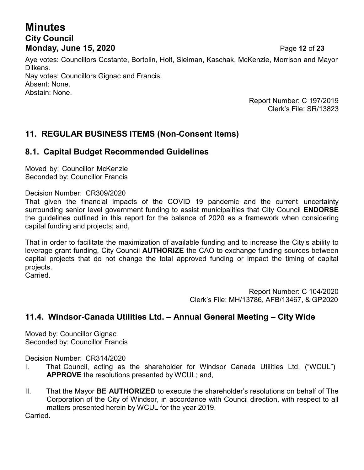# **Minutes City Council Monday, June 15, 2020** Page **12** of **23**

Aye votes: Councillors Costante, Bortolin, Holt, Sleiman, Kaschak, McKenzie, Morrison and Mayor Dilkens. Nay votes: Councillors Gignac and Francis. Absent: None. Abstain: None.

> Report Number: C 197/2019 Clerk's File: SR/13823

## **11. REGULAR BUSINESS ITEMS (Non-Consent Items)**

#### **8.1. Capital Budget Recommended Guidelines**

Moved by: Councillor McKenzie Seconded by: Councillor Francis

Decision Number: CR309/2020

That given the financial impacts of the COVID 19 pandemic and the current uncertainty surrounding senior level government funding to assist municipalities that City Council **ENDORSE** the guidelines outlined in this report for the balance of 2020 as a framework when considering capital funding and projects; and,

That in order to facilitate the maximization of available funding and to increase the City's ability to leverage grant funding, City Council **AUTHORIZE** the CAO to exchange funding sources between capital projects that do not change the total approved funding or impact the timing of capital projects.

Carried.

Report Number: C 104/2020 Clerk's File: MH/13786, AFB/13467, & GP2020

#### **11.4. Windsor-Canada Utilities Ltd. – Annual General Meeting – City Wide**

Moved by: Councillor Gignac Seconded by: Councillor Francis

Decision Number: CR314/2020

- I. That Council, acting as the shareholder for Windsor Canada Utilities Ltd. ("WCUL") **APPROVE** the resolutions presented by WCUL; and,
- II. That the Mayor **BE AUTHORIZED** to execute the shareholder's resolutions on behalf of The Corporation of the City of Windsor, in accordance with Council direction, with respect to all matters presented herein by WCUL for the year 2019.

Carried.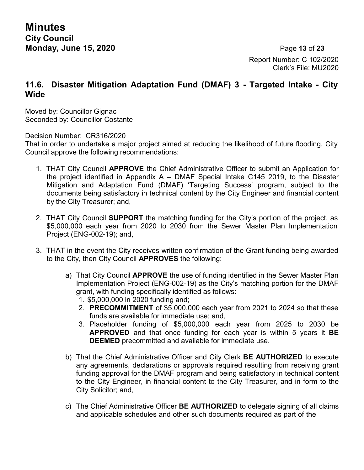**Minutes City Council Monday, June 15, 2020** Page **13** of **23**

Report Number: C 102/2020 Clerk's File: MU2020

#### **11.6. Disaster Mitigation Adaptation Fund (DMAF) 3 - Targeted Intake - City Wide**

Moved by: Councillor Gignac Seconded by: Councillor Costante

Decision Number: CR316/2020

That in order to undertake a major project aimed at reducing the likelihood of future flooding, City Council approve the following recommendations:

- 1. THAT City Council **APPROVE** the Chief Administrative Officer to submit an Application for the project identified in Appendix A – DMAF Special Intake C145 2019, to the Disaster Mitigation and Adaptation Fund (DMAF) 'Targeting Success' program, subject to the documents being satisfactory in technical content by the City Engineer and financial content by the City Treasurer; and,
- 2. THAT City Council **SUPPORT** the matching funding for the City's portion of the project, as \$5,000,000 each year from 2020 to 2030 from the Sewer Master Plan Implementation Project (ENG-002-19); and,
- 3. THAT in the event the City receives written confirmation of the Grant funding being awarded to the City, then City Council **APPROVES** the following:
	- a) That City Council **APPROVE** the use of funding identified in the Sewer Master Plan Implementation Project (ENG-002-19) as the City's matching portion for the DMAF grant, with funding specifically identified as follows:
		- 1. \$5,000,000 in 2020 funding and;
		- 2. **PRECOMMITMENT** of \$5,000,000 each year from 2021 to 2024 so that these funds are available for immediate use; and,
		- 3. Placeholder funding of \$5,000,000 each year from 2025 to 2030 be **APPROVED** and that once funding for each year is within 5 years it **BE DEEMED** precommitted and available for immediate use.
	- b) That the Chief Administrative Officer and City Clerk **BE AUTHORIZED** to execute any agreements, declarations or approvals required resulting from receiving grant funding approval for the DMAF program and being satisfactory in technical content to the City Engineer, in financial content to the City Treasurer, and in form to the City Solicitor; and,
	- c) The Chief Administrative Officer **BE AUTHORIZED** to delegate signing of all claims and applicable schedules and other such documents required as part of the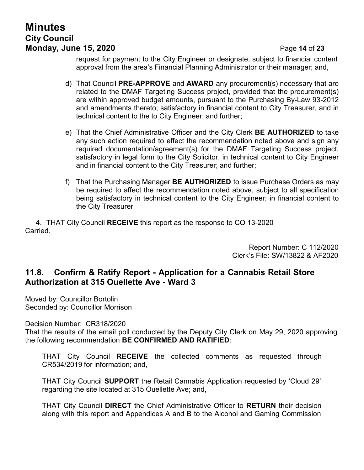# **Minutes City Council Monday, June 15, 2020** Page **14** of **23**

request for payment to the City Engineer or designate, subject to financial content approval from the area's Financial Planning Administrator or their manager; and,

- d) That Council **PRE-APPROVE** and **AWARD** any procurement(s) necessary that are related to the DMAF Targeting Success project, provided that the procurement(s) are within approved budget amounts, pursuant to the Purchasing By-Law 93-2012 and amendments thereto; satisfactory in financial content to City Treasurer, and in technical content to the to City Engineer; and further;
- e) That the Chief Administrative Officer and the City Clerk **BE AUTHORIZED** to take any such action required to effect the recommendation noted above and sign any required documentation/agreement(s) for the DMAF Targeting Success project, satisfactory in legal form to the City Solicitor, in technical content to City Engineer and in financial content to the City Treasurer; and further;
- f) That the Purchasing Manager **BE AUTHORIZED** to issue Purchase Orders as may be required to affect the recommendation noted above, subject to all specification being satisfactory in technical content to the City Engineer; in financial content to the City Treasurer

4. THAT City Council **RECEIVE** this report as the response to CQ 13-2020 **Carried** 

> Report Number: C 112/2020 Clerk's File: SW/13822 & AF2020

#### **11.8. Confirm & Ratify Report - Application for a Cannabis Retail Store Authorization at 315 Ouellette Ave - Ward 3**

Moved by: Councillor Bortolin Seconded by: Councillor Morrison

Decision Number: CR318/2020

That the results of the email poll conducted by the Deputy City Clerk on May 29, 2020 approving the following recommendation **BE CONFIRMED AND RATIFIED**:

THAT City Council **RECEIVE** the collected comments as requested through CR534/2019 for information; and,

THAT City Council **SUPPORT** the Retail Cannabis Application requested by 'Cloud 29' regarding the site located at 315 Ouellette Ave; and,

THAT City Council **DIRECT** the Chief Administrative Officer to **RETURN** their decision along with this report and Appendices A and B to the Alcohol and Gaming Commission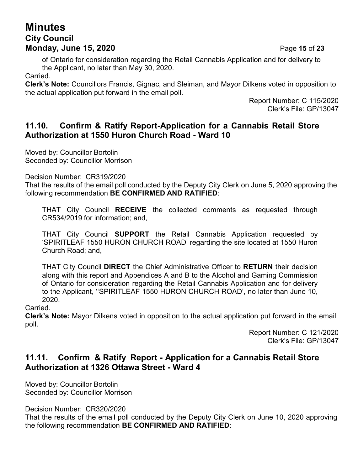# **Minutes City Council Monday, June 15, 2020** Page **15** of **23**

of Ontario for consideration regarding the Retail Cannabis Application and for delivery to the Applicant, no later than May 30, 2020.

Carried.

**Clerk's Note:** Councillors Francis, Gignac, and Sleiman, and Mayor Dilkens voted in opposition to the actual application put forward in the email poll.

> Report Number: C 115/2020 Clerk's File: GP/13047

#### **11.10. Confirm & Ratify Report-Application for a Cannabis Retail Store Authorization at 1550 Huron Church Road - Ward 10**

Moved by: Councillor Bortolin Seconded by: Councillor Morrison

Decision Number: CR319/2020

That the results of the email poll conducted by the Deputy City Clerk on June 5, 2020 approving the following recommendation **BE CONFIRMED AND RATIFIED**:

THAT City Council **RECEIVE** the collected comments as requested through CR534/2019 for information; and,

THAT City Council **SUPPORT** the Retail Cannabis Application requested by 'SPIRITLEAF 1550 HURON CHURCH ROAD' regarding the site located at 1550 Huron Church Road; and,

THAT City Council **DIRECT** the Chief Administrative Officer to **RETURN** their decision along with this report and Appendices A and B to the Alcohol and Gaming Commission of Ontario for consideration regarding the Retail Cannabis Application and for delivery to the Applicant, ''SPIRITLEAF 1550 HURON CHURCH ROAD', no later than June 10, 2020.

**Carried** 

**Clerk's Note:** Mayor Dilkens voted in opposition to the actual application put forward in the email poll.

> Report Number: C 121/2020 Clerk's File: GP/13047

### **11.11. Confirm & Ratify Report - Application for a Cannabis Retail Store Authorization at 1326 Ottawa Street - Ward 4**

Moved by: Councillor Bortolin Seconded by: Councillor Morrison

Decision Number: CR320/2020

That the results of the email poll conducted by the Deputy City Clerk on June 10, 2020 approving the following recommendation **BE CONFIRMED AND RATIFIED**: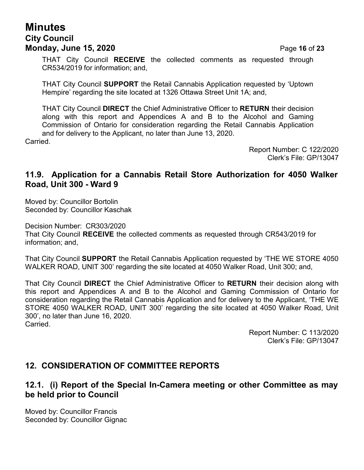## **Minutes City Council Monday, June 15, 2020** Page **16** of **23**

THAT City Council **RECEIVE** the collected comments as requested through CR534/2019 for information; and,

THAT City Council **SUPPORT** the Retail Cannabis Application requested by 'Uptown Hempire' regarding the site located at 1326 Ottawa Street Unit 1A; and,

THAT City Council **DIRECT** the Chief Administrative Officer to **RETURN** their decision along with this report and Appendices A and B to the Alcohol and Gaming Commission of Ontario for consideration regarding the Retail Cannabis Application and for delivery to the Applicant, no later than June 13, 2020.

**Carried** 

Report Number: C 122/2020 Clerk's File: GP/13047

#### **11.9. Application for a Cannabis Retail Store Authorization for 4050 Walker Road, Unit 300 - Ward 9**

Moved by: Councillor Bortolin Seconded by: Councillor Kaschak

Decision Number: CR303/2020 That City Council **RECEIVE** the collected comments as requested through CR543/2019 for information; and,

That City Council **SUPPORT** the Retail Cannabis Application requested by 'THE WE STORE 4050 WALKER ROAD, UNIT 300' regarding the site located at 4050 Walker Road, Unit 300; and,

That City Council **DIRECT** the Chief Administrative Officer to **RETURN** their decision along with this report and Appendices A and B to the Alcohol and Gaming Commission of Ontario for consideration regarding the Retail Cannabis Application and for delivery to the Applicant, 'THE WE STORE 4050 WALKER ROAD, UNIT 300' regarding the site located at 4050 Walker Road, Unit 300', no later than June 16, 2020. Carried.

> Report Number: C 113/2020 Clerk's File: GP/13047

#### **12. CONSIDERATION OF COMMITTEE REPORTS**

#### **12.1. (i) Report of the Special In-Camera meeting or other Committee as may be held prior to Council**

Moved by: Councillor Francis Seconded by: Councillor Gignac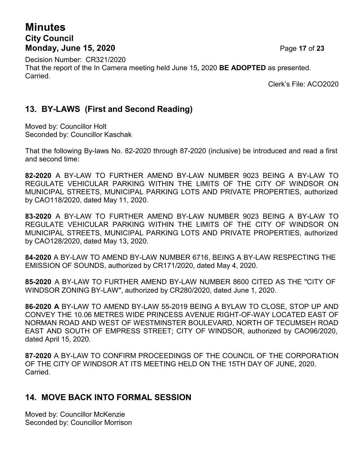# **Minutes City Council Monday, June 15, 2020** Page **17** of **23**

Decision Number: CR321/2020 That the report of the In Camera meeting held June 15, 2020 **BE ADOPTED** as presented. Carried.

Clerk's File: ACO2020

## **13. BY-LAWS (First and Second Reading)**

Moved by: Councillor Holt Seconded by: Councillor Kaschak

That the following By-laws No. 82-2020 through 87-2020 (inclusive) be introduced and read a first and second time:

**82-2020** A BY-LAW TO FURTHER AMEND BY-LAW NUMBER 9023 BEING A BY-LAW TO REGULATE VEHICULAR PARKING WITHIN THE LIMITS OF THE CITY OF WINDSOR ON MUNICIPAL STREETS, MUNICIPAL PARKING LOTS AND PRIVATE PROPERTIES, authorized by CAO118/2020, dated May 11, 2020.

**83-2020** A BY-LAW TO FURTHER AMEND BY-LAW NUMBER 9023 BEING A BY-LAW TO REGULATE VEHICULAR PARKING WITHIN THE LIMITS OF THE CITY OF WINDSOR ON MUNICIPAL STREETS, MUNICIPAL PARKING LOTS AND PRIVATE PROPERTIES, authorized by CAO128/2020, dated May 13, 2020.

**84-2020** A BY-LAW TO AMEND BY-LAW NUMBER 6716, BEING A BY-LAW RESPECTING THE EMISSION OF SOUNDS, authorized by CR171/2020, dated May 4, 2020.

**85-2020** A BY-LAW TO FURTHER AMEND BY-LAW NUMBER 8600 CITED AS THE "CITY OF WINDSOR ZONING BY-LAW", authorized by CR280/2020, dated June 1, 2020.

**86-2020 A** BY-LAW TO AMEND BY-LAW 55-2019 BEING A BYLAW TO CLOSE, STOP UP AND CONVEY THE 10.06 METRES WIDE PRINCESS AVENUE RIGHT-OF-WAY LOCATED EAST OF NORMAN ROAD AND WEST OF WESTMINSTER BOULEVARD, NORTH OF TECUMSEH ROAD EAST AND SOUTH OF EMPRESS STREET; CITY OF WINDSOR, authorized by CAO96/2020, dated April 15, 2020.

**87-2020** A BY-LAW TO CONFIRM PROCEEDINGS OF THE COUNCIL OF THE CORPORATION OF THE CITY OF WINDSOR AT ITS MEETING HELD ON THE 15TH DAY OF JUNE, 2020. Carried.

#### **14. MOVE BACK INTO FORMAL SESSION**

Moved by: Councillor McKenzie Seconded by: Councillor Morrison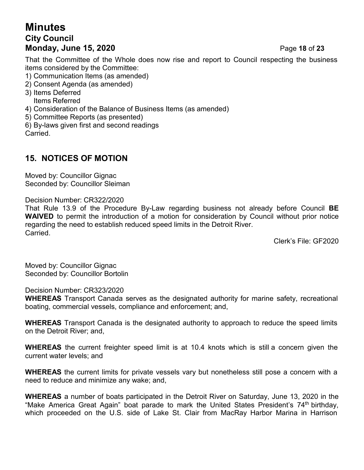# **Minutes City Council Monday, June 15, 2020** Page **18** of **23**

That the Committee of the Whole does now rise and report to Council respecting the business items considered by the Committee:

- 1) Communication Items (as amended)
- 2) Consent Agenda (as amended)
- 3) Items Deferred Items Referred
- 4) Consideration of the Balance of Business Items (as amended)
- 5) Committee Reports (as presented)
- 6) By-laws given first and second readings

**Carried** 

# **15. NOTICES OF MOTION**

Moved by: Councillor Gignac Seconded by: Councillor Sleiman

Decision Number: CR322/2020

That Rule 13.9 of the Procedure By-Law regarding business not already before Council **BE WAIVED** to permit the introduction of a motion for consideration by Council without prior notice regarding the need to establish reduced speed limits in the Detroit River. Carried.

Clerk's File: GF2020

Moved by: Councillor Gignac Seconded by: Councillor Bortolin

Decision Number: CR323/2020

**WHEREAS** Transport Canada serves as the designated authority for marine safety, recreational boating, commercial vessels, compliance and enforcement; and,

**WHEREAS** Transport Canada is the designated authority to approach to reduce the speed limits on the Detroit River; and,

**WHEREAS** the current freighter speed limit is at 10.4 knots which is still a concern given the current water levels; and

**WHEREAS** the current limits for private vessels vary but nonetheless still pose a concern with a need to reduce and minimize any wake; and,

**WHEREAS** a number of boats participated in the Detroit River on Saturday, June 13, 2020 in the "Make America Great Again" boat parade to mark the United States President's 74<sup>th</sup> birthday, which proceeded on the U.S. side of Lake St. Clair from MacRay Harbor Marina in Harrison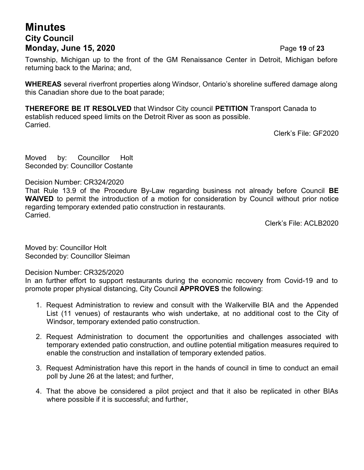## **Minutes City Council Monday, June 15, 2020** Page **19** of **23**

Township, Michigan up to the front of the GM Renaissance Center in Detroit, Michigan before returning back to the Marina; and,

**WHEREAS** several riverfront properties along Windsor, Ontario's shoreline suffered damage along this Canadian shore due to the boat parade;

**THEREFORE BE IT RESOLVED** that Windsor City council **PETITION** Transport Canada to establish reduced speed limits on the Detroit River as soon as possible. Carried.

Clerk's File: GF2020

Moved by: Councillor Holt Seconded by: Councillor Costante

Decision Number: CR324/2020

That Rule 13.9 of the Procedure By-Law regarding business not already before Council **BE WAIVED** to permit the introduction of a motion for consideration by Council without prior notice regarding temporary extended patio construction in restaurants. Carried.

Clerk's File: ACLB2020

Moved by: Councillor Holt Seconded by: Councillor Sleiman

Decision Number: CR325/2020

In an further effort to support restaurants during the economic recovery from Covid-19 and to promote proper physical distancing, City Council **APPROVES** the following:

- 1. Request Administration to review and consult with the Walkerville BIA and the Appended List (11 venues) of restaurants who wish undertake, at no additional cost to the City of Windsor, temporary extended patio construction.
- 2. Request Administration to document the opportunities and challenges associated with temporary extended patio construction, and outline potential mitigation measures required to enable the construction and installation of temporary extended patios.
- 3. Request Administration have this report in the hands of council in time to conduct an email poll by June 26 at the latest; and further,
- 4. That the above be considered a pilot project and that it also be replicated in other BIAs where possible if it is successful; and further,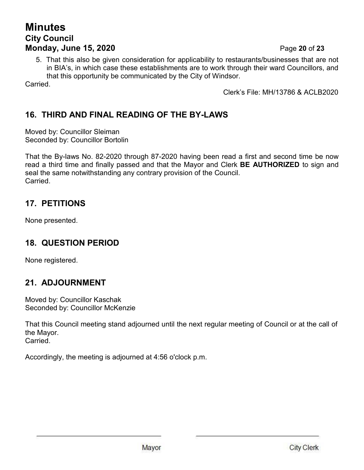## **Minutes City Council Monday, June 15, 2020** Page **20** of **23**

5. That this also be given consideration for applicability to restaurants/businesses that are not in BIA's, in which case these establishments are to work through their ward Councillors, and that this opportunity be communicated by the City of Windsor.

Carried.

Clerk's File: MH/13786 & ACLB2020

# **16. THIRD AND FINAL READING OF THE BY-LAWS**

Moved by: Councillor Sleiman Seconded by: Councillor Bortolin

That the By-laws No. 82-2020 through 87-2020 having been read a first and second time be now read a third time and finally passed and that the Mayor and Clerk **BE AUTHORIZED** to sign and seal the same notwithstanding any contrary provision of the Council. Carried.

## **17. PETITIONS**

None presented.

## **18. QUESTION PERIOD**

None registered.

## **21. ADJOURNMENT**

Moved by: Councillor Kaschak Seconded by: Councillor McKenzie

That this Council meeting stand adjourned until the next regular meeting of Council or at the call of the Mayor. Carried.

Accordingly, the meeting is adjourned at 4:56 o'clock p.m.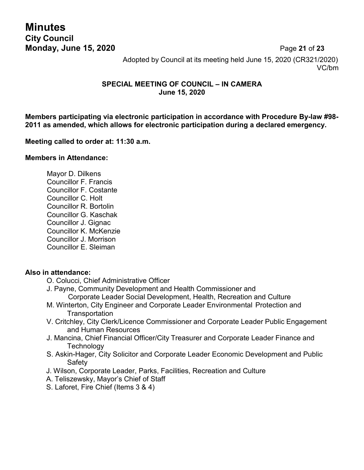**Minutes City Council**

**Monday, June 15, 2020** Page **21** of **23** Adopted by Council at its meeting held June 15, 2020 (CR321/2020) VC/bm

#### **SPECIAL MEETING OF COUNCIL – IN CAMERA June 15, 2020**

**Members participating via electronic participation in accordance with Procedure By-law #98- 2011 as amended, which allows for electronic participation during a declared emergency.**

#### **Meeting called to order at: 11:30 a.m.**

#### **Members in Attendance:**

Mayor D. Dilkens Councillor F. Francis Councillor F. Costante Councillor C. Holt Councillor R. Bortolin Councillor G. Kaschak Councillor J. Gignac Councillor K. McKenzie Councillor J. Morrison Councillor E. Sleiman

#### **Also in attendance:**

- O. Colucci, Chief Administrative Officer
- J. Payne, Community Development and Health Commissioner and Corporate Leader Social Development, Health, Recreation and Culture
- M. Winterton, City Engineer and Corporate Leader Environmental Protection and **Transportation**
- V. Critchley, City Clerk/Licence Commissioner and Corporate Leader Public Engagement and Human Resources
- J. Mancina, Chief Financial Officer/City Treasurer and Corporate Leader Finance and **Technology**
- S. Askin-Hager, City Solicitor and Corporate Leader Economic Development and Public Safety
- J. Wilson, Corporate Leader, Parks, Facilities, Recreation and Culture
- A. Teliszewsky, Mayor's Chief of Staff
- S. Laforet, Fire Chief (Items 3 & 4)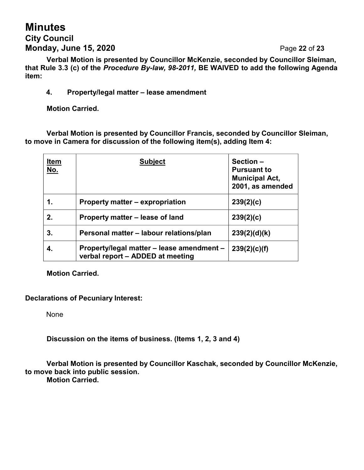# **Minutes City Council Monday, June 15, 2020** Page **22** of **23**

**Verbal Motion is presented by Councillor McKenzie, seconded by Councillor Sleiman, that Rule 3.3 (c) of the** *Procedure By-law, 98-2011,* **BE WAIVED to add the following Agenda item:**

#### **4. Property/legal matter – lease amendment**

**Motion Carried.**

**Verbal Motion is presented by Councillor Francis, seconded by Councillor Sleiman, to move in Camera for discussion of the following item(s), adding Item 4:**

| <u>Item</u><br><u>No.</u> | <b>Subject</b>                                                                | Section-<br><b>Pursuant to</b><br><b>Municipal Act,</b><br>2001, as amended |
|---------------------------|-------------------------------------------------------------------------------|-----------------------------------------------------------------------------|
| 1.                        | Property matter – expropriation                                               | 239(2)(c)                                                                   |
| 2.                        | Property matter - lease of land                                               | 239(2)(c)                                                                   |
| 3.                        | Personal matter - labour relations/plan                                       | 239(2)(d)(k)                                                                |
| 4.                        | Property/legal matter - lease amendment -<br>verbal report - ADDED at meeting | 239(2)(c)(f)                                                                |

**Motion Carried.**

#### **Declarations of Pecuniary Interest:**

None

**Discussion on the items of business. (Items 1, 2, 3 and 4)**

**Verbal Motion is presented by Councillor Kaschak, seconded by Councillor McKenzie, to move back into public session.**

**Motion Carried.**